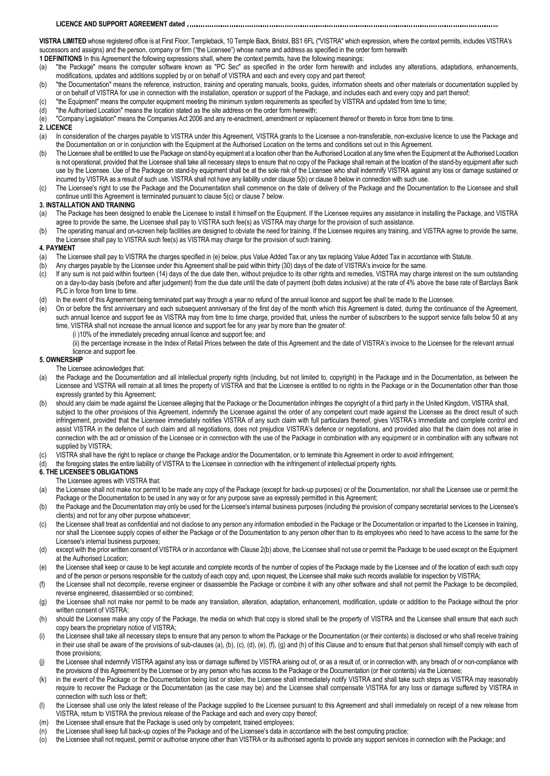# **LICENCE AND SUPPORT AGREEMENT dated**

**VISTRA LIMITED** whose registered office is at First Floor, Templeback, 10 Temple Back, Bristol, BS1 6FL ("VISTRA" which expression, where the context permits, includes VISTRA's successors and assigns) and the person, company or firm ("the Licensee") whose name and address as specified in the order form herewith

**1 DEFINITIONS** In this Agreement the following expressions shall, where the context permits, have the following meanings:

- (a) "the Package" means the computer software known as "PC Sec" as specified in the order form herewith and includes any alterations, adaptations, enhancements, modifications, updates and additions supplied by or on behalf of VISTRA and each and every copy and part thereof;
- (b) "the Documentation" means the reference, instruction, training and operating manuals, books, guides, information sheets and other materials or documentation supplied by or on behalf of VISTRA for use in connection with the installation, operation or support of the Package, and includes each and every copy and part thereof;
- (c) "the Equipment" means the computer equipment meeting the minimum system requirements as specified by VISTRA and updated from time to time;
- (d) "the Authorised Location" means the location stated as the site address on the order form herewith;

(e) "Company Legislation" means the Companies Act 2006 and any re-enactment, amendment or replacement thereof or thereto in force from time to time.

## **2. LICENCE**

- (a) In consideration of the charges payable to VISTRA under this Agreement, VISTRA grants to the Licensee a non-transferable, non-exclusive licence to use the Package and the Documentation on or in conjunction with the Equipment at the Authorised Location on the terms and conditions set out in this Agreement.
- (b) The Licensee shall be entitled to use the Package on stand-by equipment at a location other than the Authorised Location at any time when the Equipment at the Authorised Location is not operational, provided that the Licensee shall take all necessary steps to ensure that no copy of the Package shall remain at the location of the stand-by equipment after such use by the Licensee. Use of the Package on stand-by equipment shall be at the sole risk of the Licensee who shall indemnify VISTRA against any loss or damage sustained or incurred by VISTRA as a result of such use. VISTRA shall not have any liability under clause 5(b) or clause 8 below in connection with such use.
- (c) The Licensee's right to use the Package and the Documentation shall commence on the date of delivery of the Package and the Documentation to the Licensee and shall continue until this Agreement is terminated pursuant to clause 5(c) or clause 7 below.

#### **3. INSTALLATION AND TRAINING**

- (a) The Package has been designed to enable the Licensee to install it himself on the Equipment. If the Licensee requires any assistance in installing the Package, and VISTRA agree to provide the same, the Licensee shall pay to VISTRA such fee(s) as VISTRA may charge for the provision of such assistance.
- (b) The operating manual and on-screen help facilities are designed to obviate the need for training. If the Licensee requires any training, and VISTRA agree to provide the same, the Licensee shall pay to VISTRA such fee(s) as VISTRA may charge for the provision of such training.

#### **4. PAYMENT**

- (a) The Licensee shall pay to VISTRA the charges specified in (e) below, plus Value Added Tax or any tax replacing Value Added Tax in accordance with Statute.
- (b) Any charges payable by the Licensee under this Agreement shall be paid within thirty (30) days of the date of VISTRA's invoice for the same.
- (c) If any sum is not paid within fourteen (14) days of the due date then, without prejudice to its other rights and remedies, VISTRA may charge interest on the sum outstanding on a day-to-day basis (before and after judgement) from the due date until the date of payment (both dates inclusive) at the rate of 4% above the base rate of Barclays Bank PLC in force from time to time.
- (d) In the event of this Agreement being terminated part way through a year no refund of the annual licence and support fee shall be made to the Licensee.
- (e) On or before the first anniversary and each subsequent anniversary of the first day of the month which this Agreement is dated, during the continuance of the Agreement, such annual licence and support fee as VISTRA may from time to time charge, provided that, unless the number of subscribers to the support service falls below 50 at any time, VISTRA shall not increase the annual licence and support fee for any year by more than the greater of:
	- (i )10% of the immediately preceding annual licence and support fee; and
	- (ii) the percentage increase in the Index of Retail Prices between the date of this Agreement and the date of VISTRA's invoice to the Licensee for the relevant annual licence and support fee.

#### **5. OWNERSHIP**

### The Licensee acknowledges that:

- (a) the Package and the Documentation and all intellectual property rights (including, but not limited to, copyright) in the Package and in the Documentation, as between the Licensee and VISTRA will remain at all times the property of VISTRA and that the Licensee is entitled to no rights in the Package or in the Documentation other than those expressly granted by this Agreement;
- (b) should any claim be made against the Licensee alleging that the Package or the Documentation infringes the copyright of a third party in the United Kingdom, VISTRA shall, subject to the other provisions of this Agreement, indemnify the Licensee against the order of any competent court made against the Licensee as the direct result of such infringement, provided that the Licensee immediately notifies VISTRA of any such claim with full particulars thereof, gives VISTRA's immediate and complete control and assist VISTRA in the defence of such claim and all negotiations, does not prejudice VISTRA's defence or negotiations, and provided also that the claim does not arise in connection with the act or omission of the Licensee or in connection with the use of the Package in combination with any equipment or in combination with any software not supplied by VISTRA;
- (c) VISTRA shall have the right to replace or change the Package and/or the Documentation, or to terminate this Agreement in order to avoid infringement;
- (d) the foregoing states the entire liability of VISTRA to the Licensee in connection with the infringement of intellectual property rights.

### **6. THE LICENSEE'S OBLIGATIONS**

- The Licensee agrees with VISTRA that:
- (a) the Licensee shall not make nor permit to be made any copy of the Package (except for back-up purposes) or of the Documentation, nor shall the Licensee use or permit the Package or the Documentation to be used in any way or for any purpose save as expressly permitted in this Agreement;
- (b) the Package and the Documentation may only be used for the Licensee's internal business purposes (including the provision of company secretarial services to the Licensee's clients) and not for any other purpose whatsoever;
- (c) the Licensee shall treat as confidential and not disclose to any person any information embodied in the Package or the Documentation or imparted to the Licensee in training, nor shall the Licensee supply copies of either the Package or of the Documentation to any person other than to its employees who need to have access to the same for the Licensee's internal business purposes;
- (d) except with the prior written consent of VISTRA or in accordance with Clause 2(b) above, the Licensee shall not use or permit the Package to be used except on the Equipment at the Authorised Location;
- (e) the Licensee shall keep or cause to be kept accurate and complete records of the number of copies of the Package made by the Licensee and of the location of each such copy and of the person or persons responsible for the custody of each copy and, upon request, the Licensee shall make such records available for inspection by VISTRA;
- (f) the Licensee shall not decompile, reverse engineer or disassemble the Package or combine it with any other software and shall not permit the Package to be decompiled, reverse engineered, disassembled or so combined;
- (g) the Licensee shall not make nor permit to be made any translation, alteration, adaptation, enhancement, modification, update or addition to the Package without the prior written consent of VISTRA;
- (h) should the Licensee make any copy of the Package, the media on which that copy is stored shall be the property of VISTRA and the Licensee shall ensure that each such copy bears the proprietary notice of VISTRA;
- (i) the Licensee shall take all necessary steps to ensure that any person to whom the Package or the Documentation (or their contents) is disclosed or who shall receive training in their use shall be aware of the provisions of sub-clauses (a), (b), (c), (d), (e), (f), (g) and (h) of this Clause and to ensure that that person shall himself comply with each of those provisions;
- (i) the Licensee shall indemnify VISTRA against any loss or damage suffered by VISTRA arising out of, or as a result of, or in connection with, any breach of or non-compliance with the provisions of this Agreement by the Licensee or by any person who has access to the Package or the Documentation (or their contents) via the Licensee;
- (k) in the event of the Package or the Documentation being lost or stolen, the Licensee shall immediately notify VISTRA and shall take such steps as VISTRA may reasonably require to recover the Package or the Documentation (as the case may be) and the Licensee shall compensate VISTRA for any loss or damage suffered by VISTRA in connection with such loss or theft;
- (l) the Licensee shall use only the latest release of the Package supplied to the Licensee pursuant to this Agreement and shall immediately on receipt of a new release from VISTRA, return to VISTRA the previous release of the Package and each and every copy thereof;
- (m) the Licensee shall ensure that the Package is used only by competent, trained employees;
- (n) the Licensee shall keep full back-up copies of the Package and of the Licensee's data in accordance with the best computing practice;
- (o) the Licensee shall not request, permit or authorise anyone other than VISTRA or its authorised agents to provide any support services in connection with the Package; and